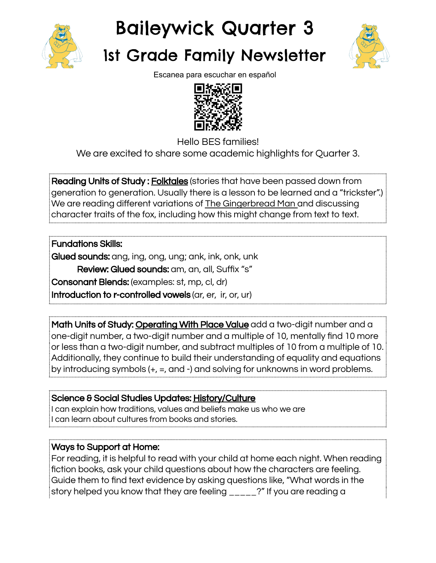

## Baileywick Quarter 3

## 1st Grade Family Newsletter



Escanea para escuchar en español



Hello BES families! We are excited to share some academic highlights for Quarter 3.

**Reading Units of Study: Folktales** (stories that have been passed down from generation to generation. Usually there is a lesson to be learned and a "trickster".) We are reading different variations of The Gingerbread Man and discussing character traits of the fox, including how this might change from text to text.

Fundations Skills: Glued sounds: ang, ing, ong, ung; ank, ink, onk, unk Review: Glued sounds: am, an, all, Suffix "s" Consonant Blends: (examples: st, mp, cl, dr) Introduction to r-controlled vowels (ar, er, ir, or, ur)

Math Units of Study: Operating With Place Value add a two-digit number and a one-digit number, a two-digit number and a multiple of 10, mentally find 10 more or less than a two-digit number, and subtract multiples of 10 from a multiple of 10. Additionally, they continue to build their understanding of equality and equations by introducing symbols (+, =, and -) and solving for unknowns in word problems.

Science & Social Studies Updates: History/Culture I can explain how traditions, values and beliefs make us who we are I can learn about cultures from books and stories.

## Ways to Support at Home:

For reading, it is helpful to read with your child at home each night. When reading fiction books, ask your child questions about how the characters are feeling. Guide them to find text evidence by asking questions like, "What words in the story helped you know that they are feeling \_\_\_\_\_?" If you are reading a